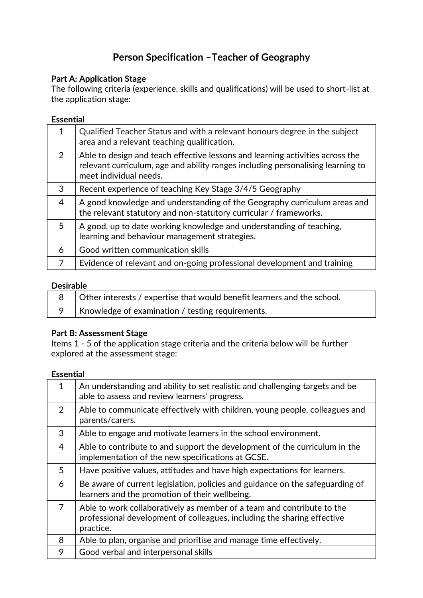## **Person Specification –Teacher of Geography**

## **Part A: Application Stage**

The following criteria (experience, skills and qualifications) will be used to short-list at the application stage:

## **Essential**

| 1              | Qualified Teacher Status and with a relevant honours degree in the subject<br>area and a relevant teaching qualification.                                                                  |
|----------------|--------------------------------------------------------------------------------------------------------------------------------------------------------------------------------------------|
| 2              | Able to design and teach effective lessons and learning activities across the<br>relevant curriculum, age and ability ranges including personalising learning to<br>meet individual needs. |
| 3              | Recent experience of teaching Key Stage 3/4/5 Geography                                                                                                                                    |
| $\overline{4}$ | A good knowledge and understanding of the Geography curriculum areas and<br>the relevant statutory and non-statutory curricular / frameworks.                                              |
| 5              | A good, up to date working knowledge and understanding of teaching,<br>learning and behaviour management strategies.                                                                       |
| 6              | Good written communication skills                                                                                                                                                          |
|                | Evidence of relevant and on-going professional development and training                                                                                                                    |

#### **Desirable**

| Other interests / expertise that would benefit learners and the school. |
|-------------------------------------------------------------------------|
| Knowledge of examination / testing requirements.                        |

## **Part B: Assessment Stage**

Items 1 - 5 of the application stage criteria and the criteria below will be further explored at the assessment stage:

#### **Essential**

| 1              | An understanding and ability to set realistic and challenging targets and be<br>able to assess and review learners' progress.                                  |
|----------------|----------------------------------------------------------------------------------------------------------------------------------------------------------------|
| 2              | Able to communicate effectively with children, young people, colleagues and<br>parents/carers.                                                                 |
| 3              | Able to engage and motivate learners in the school environment.                                                                                                |
| $\overline{4}$ | Able to contribute to and support the development of the curriculum in the<br>implementation of the new specifications at GCSE.                                |
| 5              | Have positive values, attitudes and have high expectations for learners.                                                                                       |
| 6              | Be aware of current legislation, policies and guidance on the safeguarding of<br>learners and the promotion of their wellbeing.                                |
| 7              | Able to work collaboratively as member of a team and contribute to the<br>professional development of colleagues, including the sharing effective<br>practice. |
| 8              | Able to plan, organise and prioritise and manage time effectively.                                                                                             |
| 9              | Good verbal and interpersonal skills                                                                                                                           |